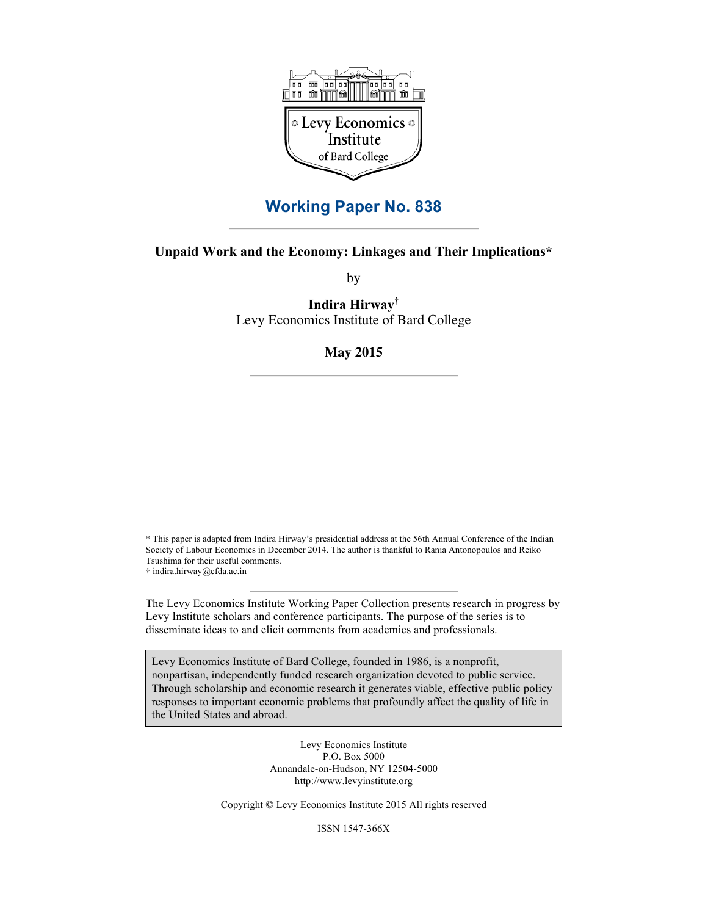

# **Working Paper No. 838**

# **Unpaid Work and the Economy: Linkages and Their Implications\***

by

**Indira Hirway†** Levy Economics Institute of Bard College

## **May 2015**

\* This paper is adapted from Indira Hirway's presidential address at the 56th Annual Conference of the Indian Society of Labour Economics in December 2014. The author is thankful to Rania Antonopoulos and Reiko Tsushima for their useful comments. **†** indira.hirway@cfda.ac.in

The Levy Economics Institute Working Paper Collection presents research in progress by Levy Institute scholars and conference participants. The purpose of the series is to disseminate ideas to and elicit comments from academics and professionals.

Levy Economics Institute of Bard College, founded in 1986, is a nonprofit, nonpartisan, independently funded research organization devoted to public service. Through scholarship and economic research it generates viable, effective public policy responses to important economic problems that profoundly affect the quality of life in the United States and abroad.

> Levy Economics Institute P.O. Box 5000 Annandale-on-Hudson, NY 12504-5000 http://www.levyinstitute.org

Copyright © Levy Economics Institute 2015 All rights reserved

ISSN 1547-366X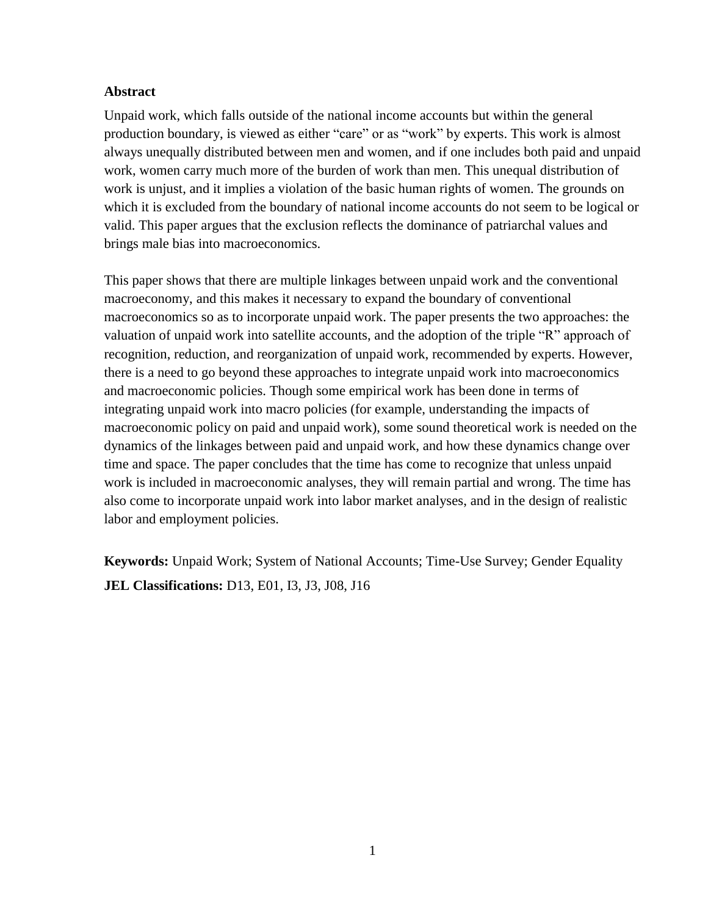# **Abstract**

Unpaid work, which falls outside of the national income accounts but within the general production boundary, is viewed as either "care" or as "work" by experts. This work is almost always unequally distributed between men and women, and if one includes both paid and unpaid work, women carry much more of the burden of work than men. This unequal distribution of work is unjust, and it implies a violation of the basic human rights of women. The grounds on which it is excluded from the boundary of national income accounts do not seem to be logical or valid. This paper argues that the exclusion reflects the dominance of patriarchal values and brings male bias into macroeconomics.

This paper shows that there are multiple linkages between unpaid work and the conventional macroeconomy, and this makes it necessary to expand the boundary of conventional macroeconomics so as to incorporate unpaid work. The paper presents the two approaches: the valuation of unpaid work into satellite accounts, and the adoption of the triple "R" approach of recognition, reduction, and reorganization of unpaid work, recommended by experts. However, there is a need to go beyond these approaches to integrate unpaid work into macroeconomics and macroeconomic policies. Though some empirical work has been done in terms of integrating unpaid work into macro policies (for example, understanding the impacts of macroeconomic policy on paid and unpaid work), some sound theoretical work is needed on the dynamics of the linkages between paid and unpaid work, and how these dynamics change over time and space. The paper concludes that the time has come to recognize that unless unpaid work is included in macroeconomic analyses, they will remain partial and wrong. The time has also come to incorporate unpaid work into labor market analyses, and in the design of realistic labor and employment policies.

**Keywords:** Unpaid Work; System of National Accounts; Time-Use Survey; Gender Equality **JEL Classifications:** D13, E01, I3, J3, J08, J16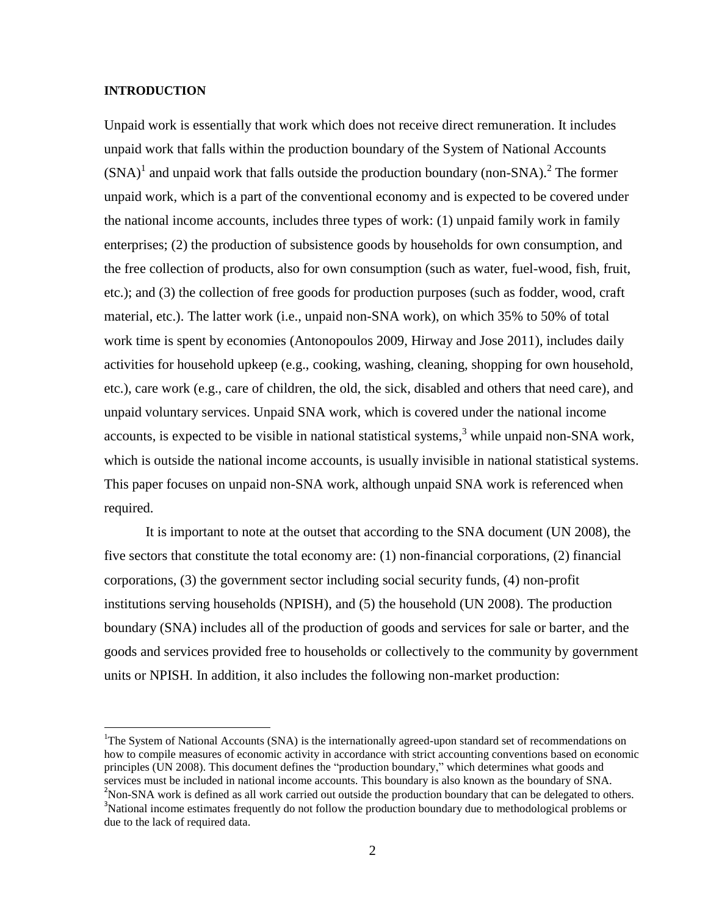### **INTRODUCTION**

 $\overline{\phantom{a}}$ 

Unpaid work is essentially that work which does not receive direct remuneration. It includes unpaid work that falls within the production boundary of the System of National Accounts  $(SNA)^1$  and unpaid work that falls outside the production boundary (non-SNA).<sup>2</sup> The former unpaid work, which is a part of the conventional economy and is expected to be covered under the national income accounts, includes three types of work: (1) unpaid family work in family enterprises; (2) the production of subsistence goods by households for own consumption, and the free collection of products, also for own consumption (such as water, fuel-wood, fish, fruit, etc.); and (3) the collection of free goods for production purposes (such as fodder, wood, craft material, etc.). The latter work (i.e., unpaid non-SNA work), on which 35% to 50% of total work time is spent by economies (Antonopoulos 2009, Hirway and Jose 2011), includes daily activities for household upkeep (e.g., cooking, washing, cleaning, shopping for own household, etc.), care work (e.g., care of children, the old, the sick, disabled and others that need care), and unpaid voluntary services. Unpaid SNA work, which is covered under the national income accounts, is expected to be visible in national statistical systems,<sup>3</sup> while unpaid non-SNA work, which is outside the national income accounts, is usually invisible in national statistical systems. This paper focuses on unpaid non-SNA work, although unpaid SNA work is referenced when required.

It is important to note at the outset that according to the SNA document (UN 2008), the five sectors that constitute the total economy are: (1) non-financial corporations, (2) financial corporations, (3) the government sector including social security funds, (4) non-profit institutions serving households (NPISH), and (5) the household (UN 2008). The production boundary (SNA) includes all of the production of goods and services for sale or barter, and the goods and services provided free to households or collectively to the community by government units or NPISH. In addition, it also includes the following non-market production:

<sup>&</sup>lt;sup>1</sup>The System of National Accounts (SNA) is the internationally agreed-upon standard set of recommendations on how to compile measures of economic activity in accordance with strict accounting conventions based on economic principles (UN 2008). This document defines the "production boundary," which determines what goods and services must be included in national income accounts. This boundary is also known as the boundary of SNA. <sup>2</sup>Non-SNA work is defined as all work carried out outside the production boundary that can be delegated to others.

<sup>&</sup>lt;sup>3</sup>National income estimates frequently do not follow the production boundary due to methodological problems or due to the lack of required data.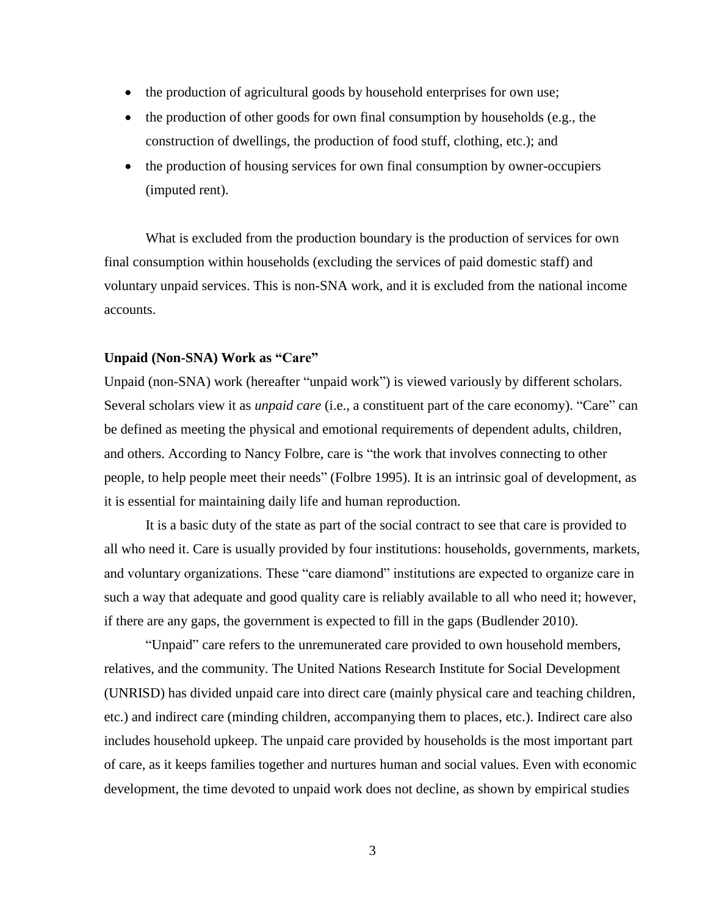- the production of agricultural goods by household enterprises for own use;
- $\bullet$  the production of other goods for own final consumption by households (e.g., the construction of dwellings, the production of food stuff, clothing, etc.); and
- the production of housing services for own final consumption by owner-occupiers (imputed rent).

What is excluded from the production boundary is the production of services for own final consumption within households (excluding the services of paid domestic staff) and voluntary unpaid services. This is non-SNA work, and it is excluded from the national income accounts.

# **Unpaid (Non-SNA) Work as "Care"**

Unpaid (non-SNA) work (hereafter "unpaid work") is viewed variously by different scholars. Several scholars view it as *unpaid care* (i.e., a constituent part of the care economy). "Care" can be defined as meeting the physical and emotional requirements of dependent adults, children, and others. According to Nancy Folbre, care is "the work that involves connecting to other people, to help people meet their needs" (Folbre 1995). It is an intrinsic goal of development, as it is essential for maintaining daily life and human reproduction.

It is a basic duty of the state as part of the social contract to see that care is provided to all who need it. Care is usually provided by four institutions: households, governments, markets, and voluntary organizations. These "care diamond" institutions are expected to organize care in such a way that adequate and good quality care is reliably available to all who need it; however, if there are any gaps, the government is expected to fill in the gaps (Budlender 2010).

"Unpaid" care refers to the unremunerated care provided to own household members, relatives, and the community. The United Nations Research Institute for Social Development (UNRISD) has divided unpaid care into direct care (mainly physical care and teaching children, etc.) and indirect care (minding children, accompanying them to places, etc.). Indirect care also includes household upkeep. The unpaid care provided by households is the most important part of care, as it keeps families together and nurtures human and social values. Even with economic development, the time devoted to unpaid work does not decline, as shown by empirical studies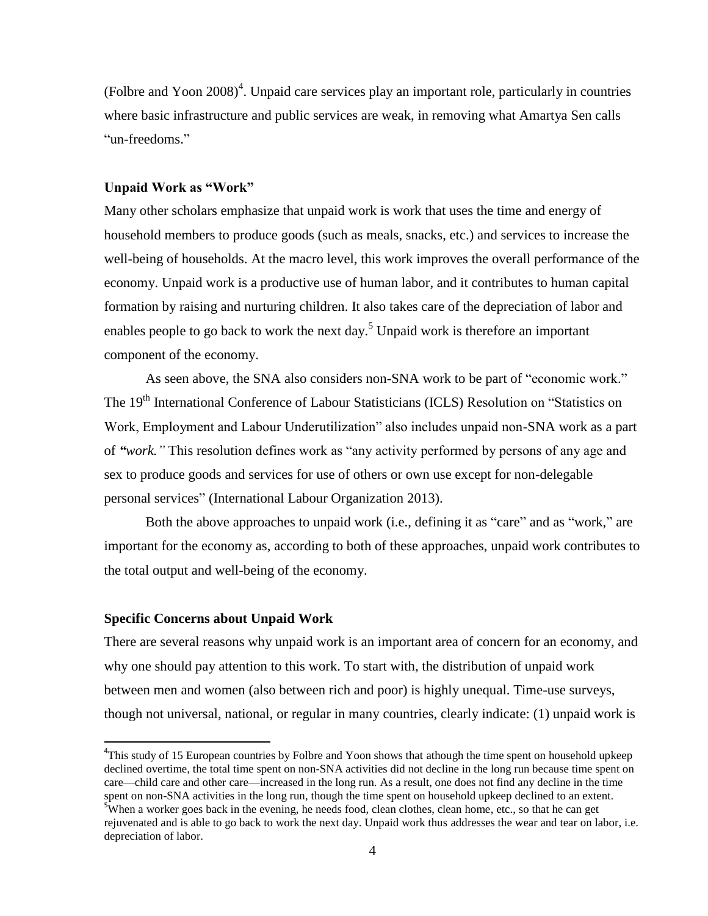(Folbre and Yoon 2008) 4 . Unpaid care services play an important role, particularly in countries where basic infrastructure and public services are weak, in removing what Amartya Sen calls "un-freedoms."

# **Unpaid Work as "Work"**

Many other scholars emphasize that unpaid work is work that uses the time and energy of household members to produce goods (such as meals, snacks, etc.) and services to increase the well-being of households. At the macro level, this work improves the overall performance of the economy. Unpaid work is a productive use of human labor, and it contributes to human capital formation by raising and nurturing children. It also takes care of the depreciation of labor and enables people to go back to work the next day.<sup>5</sup> Unpaid work is therefore an important component of the economy.

As seen above, the SNA also considers non-SNA work to be part of "economic work." The 19<sup>th</sup> International Conference of Labour Statisticians (ICLS) Resolution on "Statistics on Work, Employment and Labour Underutilization" also includes unpaid non-SNA work as a part of *"work."* This resolution defines work as "any activity performed by persons of any age and sex to produce goods and services for use of others or own use except for non-delegable personal services" (International Labour Organization 2013).

Both the above approaches to unpaid work (i.e., defining it as "care" and as "work," are important for the economy as, according to both of these approaches, unpaid work contributes to the total output and well-being of the economy.

# **Specific Concerns about Unpaid Work**

l

There are several reasons why unpaid work is an important area of concern for an economy, and why one should pay attention to this work. To start with, the distribution of unpaid work between men and women (also between rich and poor) is highly unequal. Time-use surveys, though not universal, national, or regular in many countries, clearly indicate: (1) unpaid work is

<sup>&</sup>lt;sup>4</sup>This study of 15 European countries by Folbre and Yoon shows that athough the time spent on household upkeep declined overtime, the total time spent on non-SNA activities did not decline in the long run because time spent on care—child care and other care—increased in the long run. As a result, one does not find any decline in the time spent on non-SNA activities in the long run, though the time spent on household upkeep declined to an extent.

<sup>&</sup>lt;sup>5</sup>When a worker goes back in the evening, he needs food, clean clothes, clean home, etc., so that he can get rejuvenated and is able to go back to work the next day. Unpaid work thus addresses the wear and tear on labor, i.e. depreciation of labor.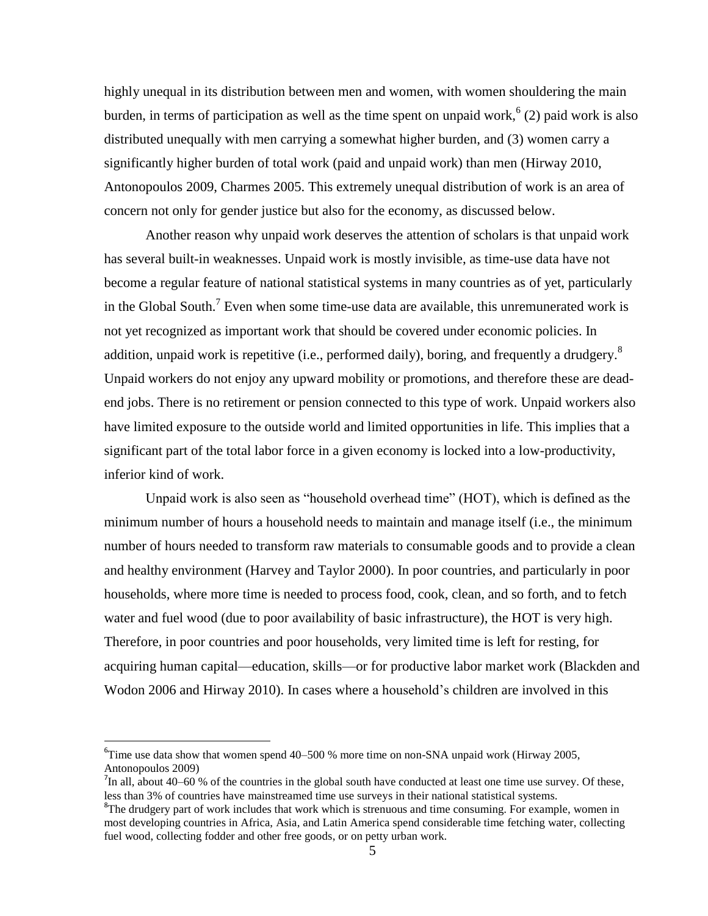highly unequal in its distribution between men and women, with women shouldering the main burden, in terms of participation as well as the time spent on unpaid work,  $(2)$  paid work is also distributed unequally with men carrying a somewhat higher burden, and (3) women carry a significantly higher burden of total work (paid and unpaid work) than men (Hirway 2010, Antonopoulos 2009, Charmes 2005. This extremely unequal distribution of work is an area of concern not only for gender justice but also for the economy, as discussed below.

Another reason why unpaid work deserves the attention of scholars is that unpaid work has several built-in weaknesses. Unpaid work is mostly invisible, as time-use data have not become a regular feature of national statistical systems in many countries as of yet, particularly in the Global South.<sup>7</sup> Even when some time-use data are available, this unremunerated work is not yet recognized as important work that should be covered under economic policies. In addition, unpaid work is repetitive (i.e., performed daily), boring, and frequently a drudgery.<sup>8</sup> Unpaid workers do not enjoy any upward mobility or promotions, and therefore these are deadend jobs. There is no retirement or pension connected to this type of work. Unpaid workers also have limited exposure to the outside world and limited opportunities in life. This implies that a significant part of the total labor force in a given economy is locked into a low-productivity, inferior kind of work.

Unpaid work is also seen as "household overhead time" (HOT), which is defined as the minimum number of hours a household needs to maintain and manage itself (i.e., the minimum number of hours needed to transform raw materials to consumable goods and to provide a clean and healthy environment (Harvey and Taylor 2000). In poor countries, and particularly in poor households, where more time is needed to process food, cook, clean, and so forth, and to fetch water and fuel wood (due to poor availability of basic infrastructure), the HOT is very high. Therefore, in poor countries and poor households, very limited time is left for resting, for acquiring human capital—education, skills—or for productive labor market work (Blackden and Wodon 2006 and Hirway 2010). In cases where a household's children are involved in this

 $\overline{\phantom{a}}$ 

 ${}^{6}$ Time use data show that women spend 40–500 % more time on non-SNA unpaid work (Hirway 2005, Antonopoulos 2009)

 $^{7}$ In all, about 40–60 % of the countries in the global south have conducted at least one time use survey. Of these, less than 3% of countries have mainstreamed time use surveys in their national statistical systems.

<sup>&</sup>lt;sup>8</sup>The drudgery part of work includes that work which is strenuous and time consuming. For example, women in most developing countries in Africa, Asia, and Latin America spend considerable time fetching water, collecting fuel wood, collecting fodder and other free goods, or on petty urban work.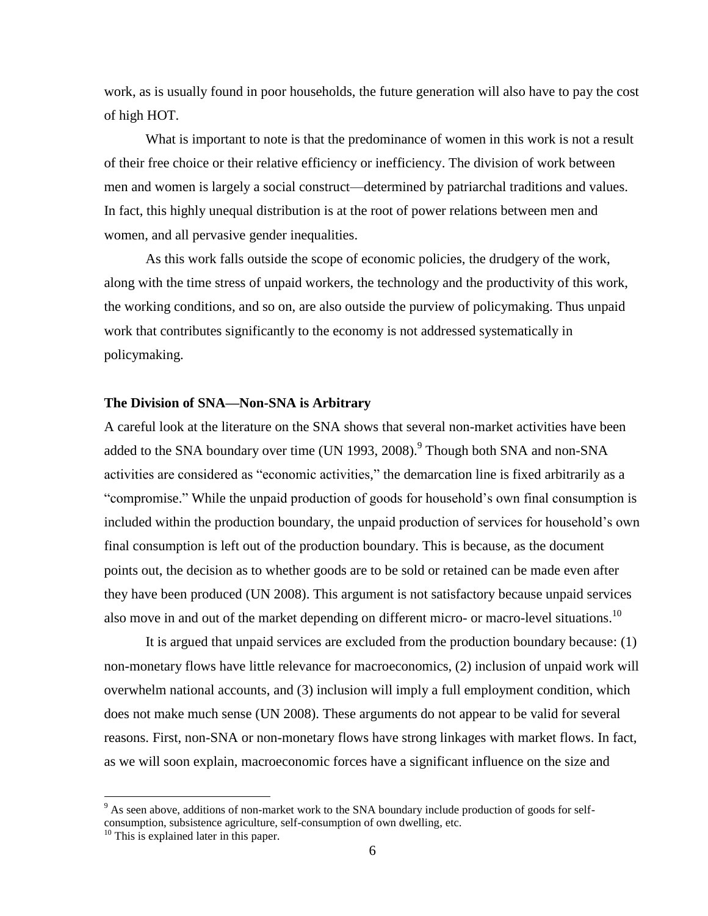work, as is usually found in poor households, the future generation will also have to pay the cost of high HOT.

What is important to note is that the predominance of women in this work is not a result of their free choice or their relative efficiency or inefficiency. The division of work between men and women is largely a social construct—determined by patriarchal traditions and values. In fact, this highly unequal distribution is at the root of power relations between men and women, and all pervasive gender inequalities.

As this work falls outside the scope of economic policies, the drudgery of the work, along with the time stress of unpaid workers, the technology and the productivity of this work, the working conditions, and so on, are also outside the purview of policymaking. Thus unpaid work that contributes significantly to the economy is not addressed systematically in policymaking.

# **The Division of SNA—Non-SNA is Arbitrary**

A careful look at the literature on the SNA shows that several non-market activities have been added to the SNA boundary over time (UN 1993, 2008).<sup>9</sup> Though both SNA and non-SNA activities are considered as "economic activities," the demarcation line is fixed arbitrarily as a "compromise." While the unpaid production of goods for household's own final consumption is included within the production boundary, the unpaid production of services for household's own final consumption is left out of the production boundary. This is because, as the document points out, the decision as to whether goods are to be sold or retained can be made even after they have been produced (UN 2008). This argument is not satisfactory because unpaid services also move in and out of the market depending on different micro- or macro-level situations.<sup>10</sup>

It is argued that unpaid services are excluded from the production boundary because: (1) non-monetary flows have little relevance for macroeconomics, (2) inclusion of unpaid work will overwhelm national accounts, and (3) inclusion will imply a full employment condition, which does not make much sense (UN 2008). These arguments do not appear to be valid for several reasons. First, non-SNA or non-monetary flows have strong linkages with market flows. In fact, as we will soon explain, macroeconomic forces have a significant influence on the size and

 $\overline{\phantom{a}}$ 

<sup>&</sup>lt;sup>9</sup> As seen above, additions of non-market work to the SNA boundary include production of goods for selfconsumption, subsistence agriculture, self-consumption of own dwelling, etc.

<sup>&</sup>lt;sup>10</sup> This is explained later in this paper.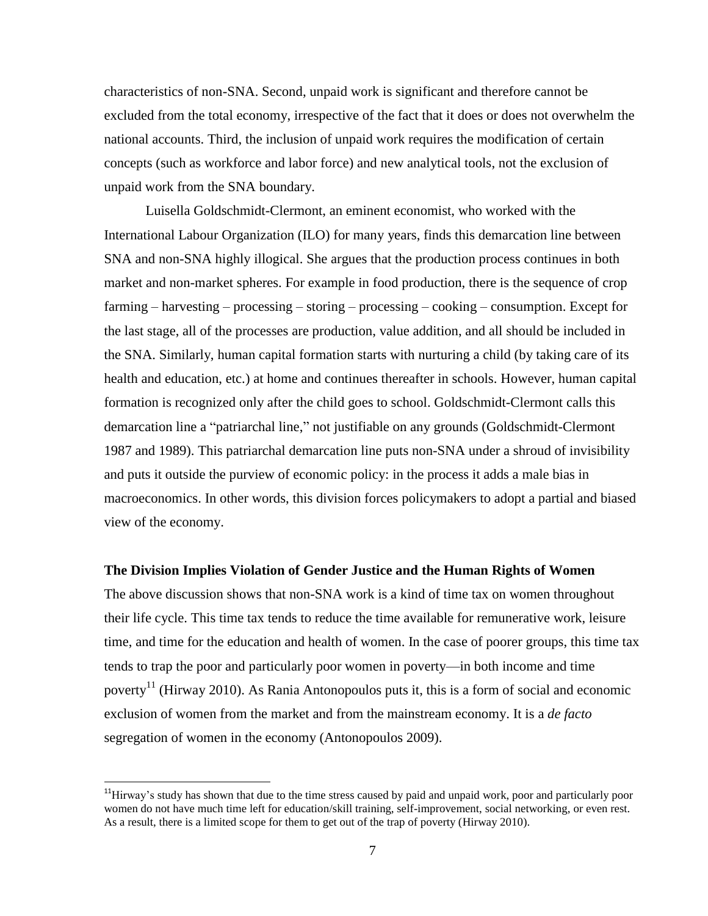characteristics of non-SNA. Second, unpaid work is significant and therefore cannot be excluded from the total economy, irrespective of the fact that it does or does not overwhelm the national accounts. Third, the inclusion of unpaid work requires the modification of certain concepts (such as workforce and labor force) and new analytical tools, not the exclusion of unpaid work from the SNA boundary.

Luisella Goldschmidt-Clermont, an eminent economist, who worked with the International Labour Organization (ILO) for many years, finds this demarcation line between SNA and non-SNA highly illogical. She argues that the production process continues in both market and non-market spheres. For example in food production, there is the sequence of crop farming – harvesting – processing – storing – processing – cooking – consumption. Except for the last stage, all of the processes are production, value addition, and all should be included in the SNA. Similarly, human capital formation starts with nurturing a child (by taking care of its health and education, etc.) at home and continues thereafter in schools. However, human capital formation is recognized only after the child goes to school. Goldschmidt-Clermont calls this demarcation line a "patriarchal line," not justifiable on any grounds (Goldschmidt-Clermont 1987 and 1989). This patriarchal demarcation line puts non-SNA under a shroud of invisibility and puts it outside the purview of economic policy: in the process it adds a male bias in macroeconomics. In other words, this division forces policymakers to adopt a partial and biased view of the economy.

#### **The Division Implies Violation of Gender Justice and the Human Rights of Women**

The above discussion shows that non-SNA work is a kind of time tax on women throughout their life cycle. This time tax tends to reduce the time available for remunerative work, leisure time, and time for the education and health of women. In the case of poorer groups, this time tax tends to trap the poor and particularly poor women in poverty—in both income and time poverty<sup>11</sup> (Hirway 2010). As Rania Antonopoulos puts it, this is a form of social and economic exclusion of women from the market and from the mainstream economy. It is a *de facto* segregation of women in the economy (Antonopoulos 2009).

l

 $11$ Hirway's study has shown that due to the time stress caused by paid and unpaid work, poor and particularly poor women do not have much time left for education/skill training, self-improvement, social networking, or even rest. As a result, there is a limited scope for them to get out of the trap of poverty (Hirway 2010).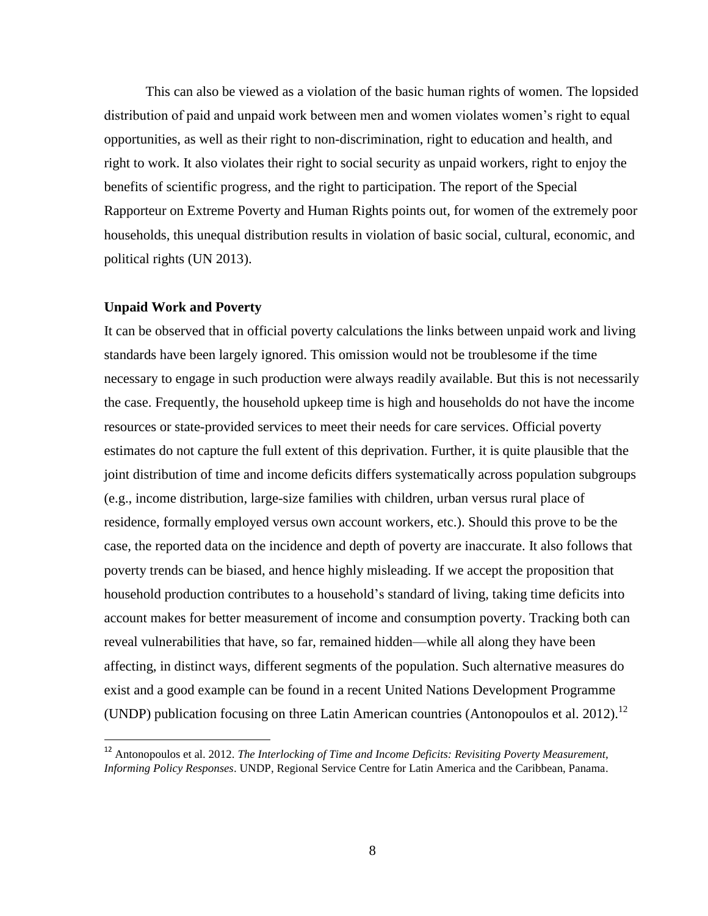This can also be viewed as a violation of the basic human rights of women. The lopsided distribution of paid and unpaid work between men and women violates women's right to equal opportunities, as well as their right to non-discrimination, right to education and health, and right to work. It also violates their right to social security as unpaid workers, right to enjoy the benefits of scientific progress, and the right to participation. The report of the Special Rapporteur on Extreme Poverty and Human Rights points out, for women of the extremely poor households, this unequal distribution results in violation of basic social, cultural, economic, and political rights (UN 2013).

### **Unpaid Work and Poverty**

l

It can be observed that in official poverty calculations the links between unpaid work and living standards have been largely ignored. This omission would not be troublesome if the time necessary to engage in such production were always readily available. But this is not necessarily the case. Frequently, the household upkeep time is high and households do not have the income resources or state-provided services to meet their needs for care services. Official poverty estimates do not capture the full extent of this deprivation. Further, it is quite plausible that the joint distribution of time and income deficits differs systematically across population subgroups (e.g., income distribution, large-size families with children, urban versus rural place of residence, formally employed versus own account workers, etc.). Should this prove to be the case, the reported data on the incidence and depth of poverty are inaccurate. It also follows that poverty trends can be biased, and hence highly misleading. If we accept the proposition that household production contributes to a household's standard of living, taking time deficits into account makes for better measurement of income and consumption poverty. Tracking both can reveal vulnerabilities that have, so far, remained hidden—while all along they have been affecting, in distinct ways, different segments of the population. Such alternative measures do exist and a good example can be found in a recent United Nations Development Programme (UNDP) publication focusing on three Latin American countries (Antonopoulos et al. 2012).<sup>12</sup>

<sup>&</sup>lt;sup>12</sup> Antonopoulos et al. 2012. *The Interlocking of Time and Income Deficits: Revisiting Poverty Measurement, Informing Policy Responses*. UNDP, Regional Service Centre for Latin America and the Caribbean, Panama.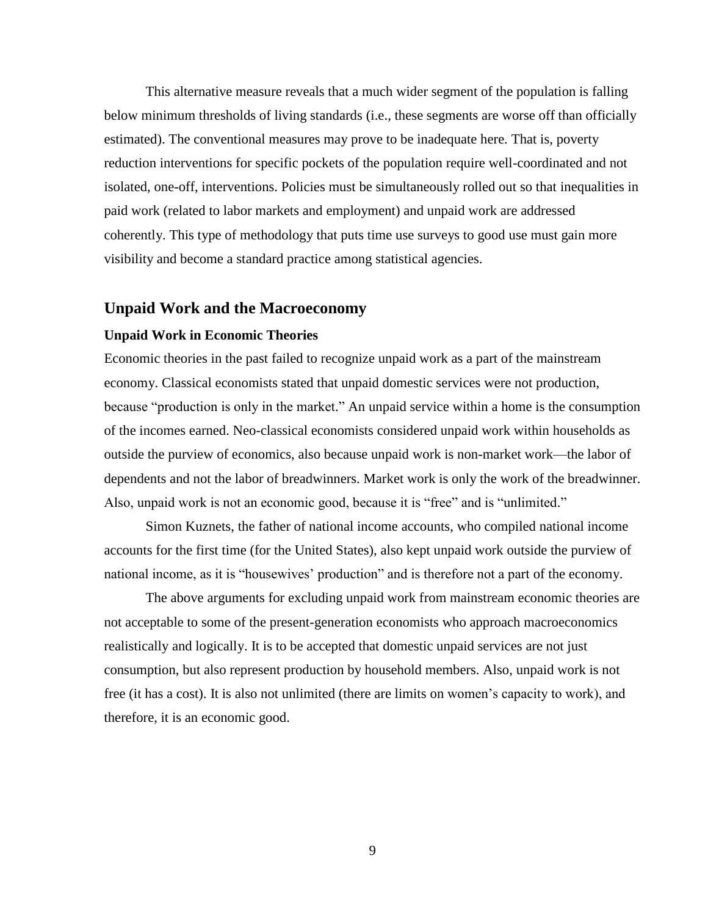This alternative measure reveals that a much wider segment of the population is falling below minimum thresholds of living standards (i.e., these segments are worse off than officially estimated). The conventional measures may prove to be inadequate here. That is, poverty reduction interventions for specific pockets of the population require well-coordinated and not isolated, one-off, interventions. Policies must be simultaneously rolled out so that inequalities in paid work (related to labor markets and employment) and unpaid work are addressed coherently. This type of methodology that puts time use surveys to good use must gain more visibility and become a standard practice among statistical agencies.

# **Unpaid Work and the Macroeconomy**

#### **Unpaid Work in Economic Theories**

Economic theories in the past failed to recognize unpaid work as a part of the mainstream economy. Classical economists stated that unpaid domestic services were not production, because "production is only in the market." An unpaid service within a home is the consumption of the incomes earned. Neo-classical economists considered unpaid work within households as outside the purview of economics, also because unpaid work is non-market work—the labor of dependents and not the labor of breadwinners. Market work is only the work of the breadwinner. Also, unpaid work is not an economic good, because it is "free" and is "unlimited."

Simon Kuznets, the father of national income accounts, who compiled national income accounts for the first time (for the United States), also kept unpaid work outside the purview of national income, as it is "housewives' production" and is therefore not a part of the economy.

The above arguments for excluding unpaid work from mainstream economic theories are not acceptable to some of the present-generation economists who approach macroeconomics realistically and logically. It is to be accepted that domestic unpaid services are not just consumption, but also represent production by household members. Also, unpaid work is not free (it has a cost). It is also not unlimited (there are limits on women's capacity to work), and therefore, it is an economic good.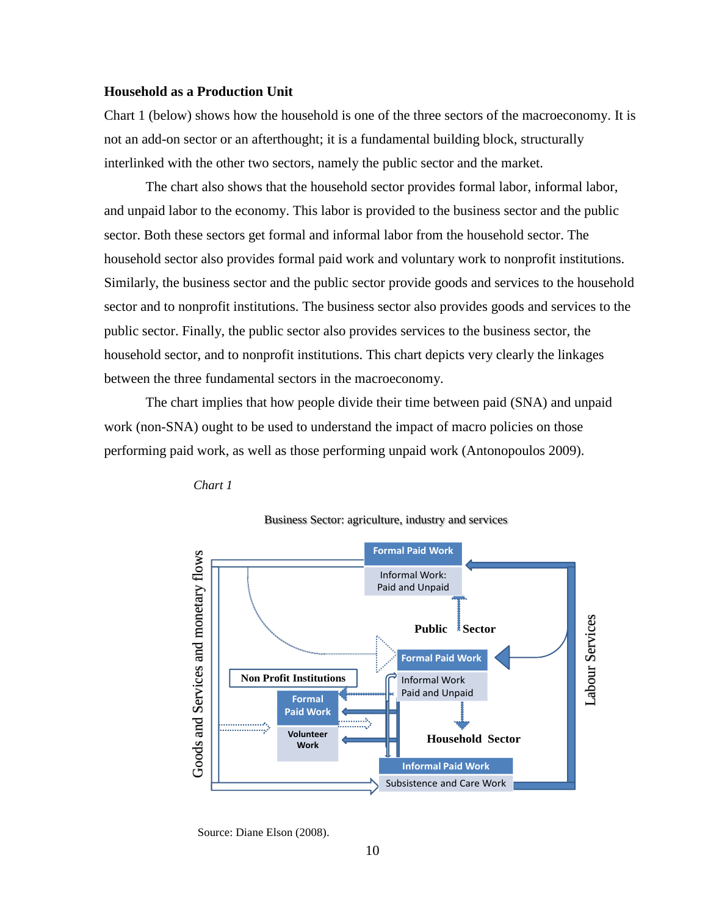# **Household as a Production Unit**

Chart 1 (below) shows how the household is one of the three sectors of the macroeconomy. It is not an add-on sector or an afterthought; it is a fundamental building block, structurally interlinked with the other two sectors, namely the public sector and the market.

The chart also shows that the household sector provides formal labor, informal labor, and unpaid labor to the economy. This labor is provided to the business sector and the public sector. Both these sectors get formal and informal labor from the household sector. The household sector also provides formal paid work and voluntary work to nonprofit institutions. Similarly, the business sector and the public sector provide goods and services to the household sector and to nonprofit institutions. The business sector also provides goods and services to the public sector. Finally, the public sector also provides services to the business sector, the household sector, and to nonprofit institutions. This chart depicts very clearly the linkages between the three fundamental sectors in the macroeconomy.

The chart implies that how people divide their time between paid (SNA) and unpaid work (non-SNA) ought to be used to understand the impact of macro policies on those performing paid work, as well as those performing unpaid work (Antonopoulos 2009).







Source: Diane Elson (2008).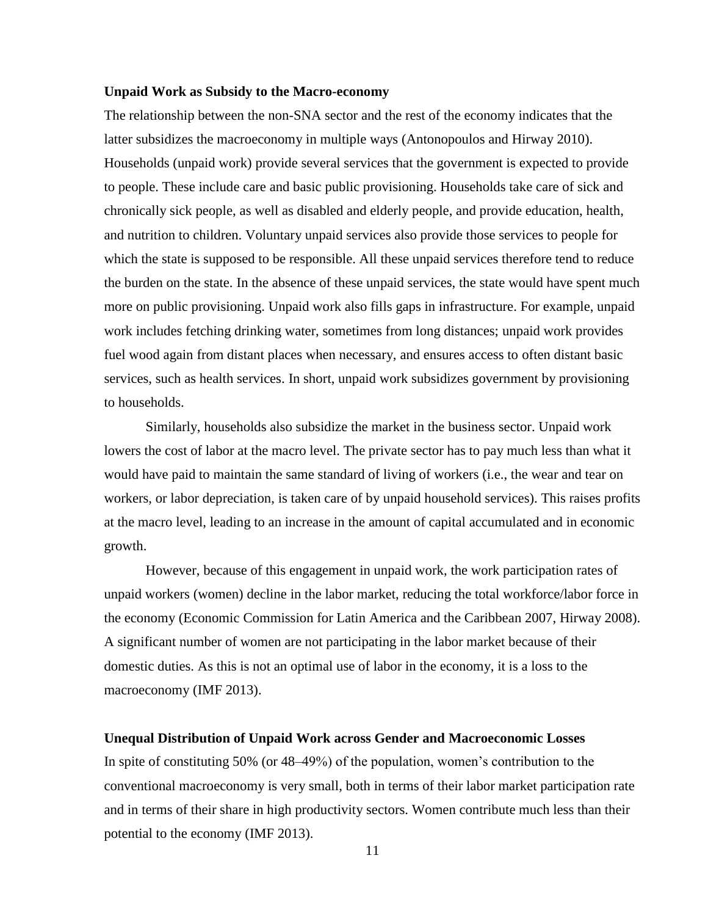# **Unpaid Work as Subsidy to the Macro-economy**

The relationship between the non-SNA sector and the rest of the economy indicates that the latter subsidizes the macroeconomy in multiple ways (Antonopoulos and Hirway 2010). Households (unpaid work) provide several services that the government is expected to provide to people. These include care and basic public provisioning. Households take care of sick and chronically sick people, as well as disabled and elderly people, and provide education, health, and nutrition to children. Voluntary unpaid services also provide those services to people for which the state is supposed to be responsible. All these unpaid services therefore tend to reduce the burden on the state. In the absence of these unpaid services, the state would have spent much more on public provisioning. Unpaid work also fills gaps in infrastructure. For example, unpaid work includes fetching drinking water, sometimes from long distances; unpaid work provides fuel wood again from distant places when necessary, and ensures access to often distant basic services, such as health services. In short, unpaid work subsidizes government by provisioning to households.

Similarly, households also subsidize the market in the business sector. Unpaid work lowers the cost of labor at the macro level. The private sector has to pay much less than what it would have paid to maintain the same standard of living of workers (i.e., the wear and tear on workers, or labor depreciation, is taken care of by unpaid household services). This raises profits at the macro level, leading to an increase in the amount of capital accumulated and in economic growth.

However, because of this engagement in unpaid work, the work participation rates of unpaid workers (women) decline in the labor market, reducing the total workforce/labor force in the economy (Economic Commission for Latin America and the Caribbean 2007, Hirway 2008). A significant number of women are not participating in the labor market because of their domestic duties. As this is not an optimal use of labor in the economy, it is a loss to the macroeconomy (IMF 2013).

#### **Unequal Distribution of Unpaid Work across Gender and Macroeconomic Losses**

In spite of constituting 50% (or 48–49%) of the population, women's contribution to the conventional macroeconomy is very small, both in terms of their labor market participation rate and in terms of their share in high productivity sectors. Women contribute much less than their potential to the economy (IMF 2013).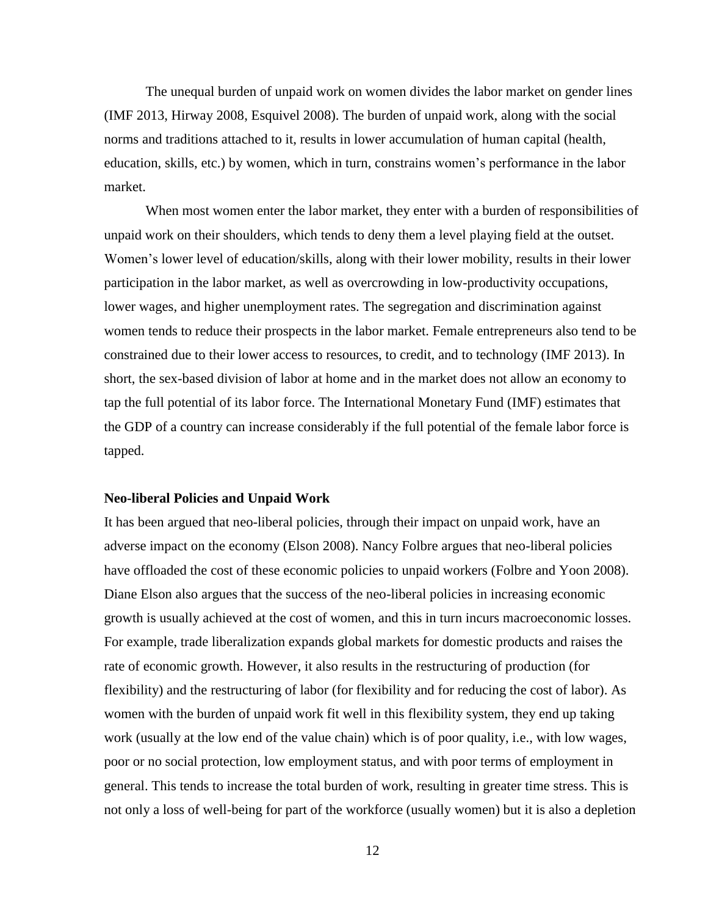The unequal burden of unpaid work on women divides the labor market on gender lines (IMF 2013, Hirway 2008, Esquivel 2008). The burden of unpaid work, along with the social norms and traditions attached to it, results in lower accumulation of human capital (health, education, skills, etc.) by women, which in turn, constrains women's performance in the labor market.

When most women enter the labor market, they enter with a burden of responsibilities of unpaid work on their shoulders, which tends to deny them a level playing field at the outset. Women's lower level of education/skills, along with their lower mobility, results in their lower participation in the labor market, as well as overcrowding in low-productivity occupations, lower wages, and higher unemployment rates. The segregation and discrimination against women tends to reduce their prospects in the labor market. Female entrepreneurs also tend to be constrained due to their lower access to resources, to credit, and to technology (IMF 2013). In short, the sex-based division of labor at home and in the market does not allow an economy to tap the full potential of its labor force. The International Monetary Fund (IMF) estimates that the GDP of a country can increase considerably if the full potential of the female labor force is tapped.

# **Neo-liberal Policies and Unpaid Work**

It has been argued that neo-liberal policies, through their impact on unpaid work, have an adverse impact on the economy (Elson 2008). Nancy Folbre argues that neo-liberal policies have offloaded the cost of these economic policies to unpaid workers (Folbre and Yoon 2008). Diane Elson also argues that the success of the neo-liberal policies in increasing economic growth is usually achieved at the cost of women, and this in turn incurs macroeconomic losses. For example, trade liberalization expands global markets for domestic products and raises the rate of economic growth. However, it also results in the restructuring of production (for flexibility) and the restructuring of labor (for flexibility and for reducing the cost of labor). As women with the burden of unpaid work fit well in this flexibility system, they end up taking work (usually at the low end of the value chain) which is of poor quality, i.e., with low wages, poor or no social protection, low employment status, and with poor terms of employment in general. This tends to increase the total burden of work, resulting in greater time stress. This is not only a loss of well-being for part of the workforce (usually women) but it is also a depletion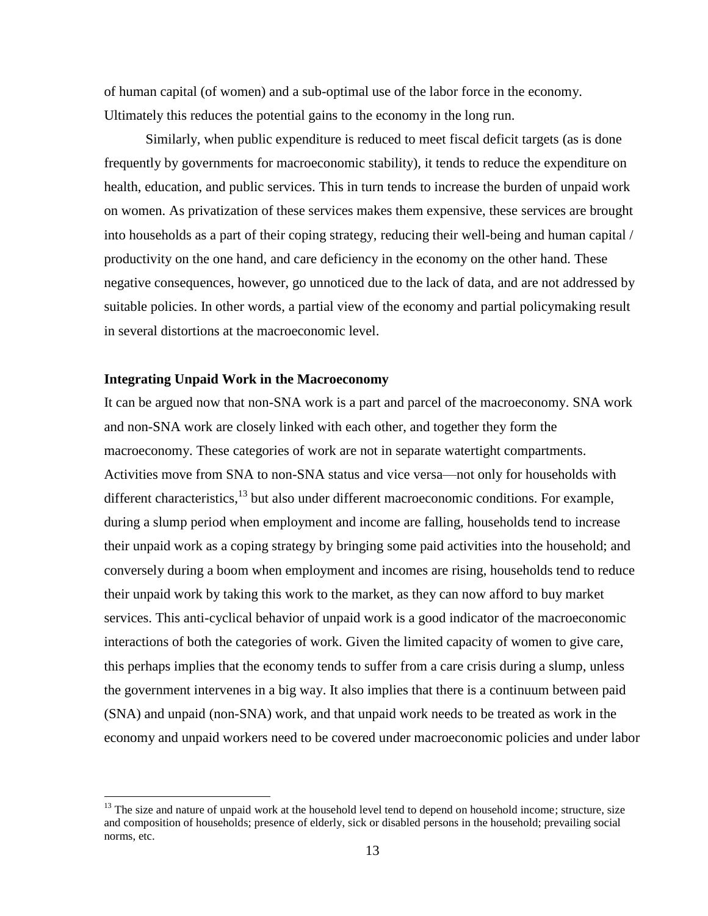of human capital (of women) and a sub-optimal use of the labor force in the economy. Ultimately this reduces the potential gains to the economy in the long run.

Similarly, when public expenditure is reduced to meet fiscal deficit targets (as is done frequently by governments for macroeconomic stability), it tends to reduce the expenditure on health, education, and public services. This in turn tends to increase the burden of unpaid work on women. As privatization of these services makes them expensive, these services are brought into households as a part of their coping strategy, reducing their well-being and human capital / productivity on the one hand, and care deficiency in the economy on the other hand. These negative consequences, however, go unnoticed due to the lack of data, and are not addressed by suitable policies. In other words, a partial view of the economy and partial policymaking result in several distortions at the macroeconomic level.

# **Integrating Unpaid Work in the Macroeconomy**

 $\overline{\phantom{a}}$ 

It can be argued now that non-SNA work is a part and parcel of the macroeconomy. SNA work and non-SNA work are closely linked with each other, and together they form the macroeconomy. These categories of work are not in separate watertight compartments. Activities move from SNA to non-SNA status and vice versa—not only for households with different characteristics,<sup>13</sup> but also under different macroeconomic conditions. For example, during a slump period when employment and income are falling, households tend to increase their unpaid work as a coping strategy by bringing some paid activities into the household; and conversely during a boom when employment and incomes are rising, households tend to reduce their unpaid work by taking this work to the market, as they can now afford to buy market services. This anti-cyclical behavior of unpaid work is a good indicator of the macroeconomic interactions of both the categories of work. Given the limited capacity of women to give care, this perhaps implies that the economy tends to suffer from a care crisis during a slump, unless the government intervenes in a big way. It also implies that there is a continuum between paid (SNA) and unpaid (non-SNA) work, and that unpaid work needs to be treated as work in the economy and unpaid workers need to be covered under macroeconomic policies and under labor

<sup>&</sup>lt;sup>13</sup> The size and nature of unpaid work at the household level tend to depend on household income; structure, size and composition of households; presence of elderly, sick or disabled persons in the household; prevailing social norms, etc.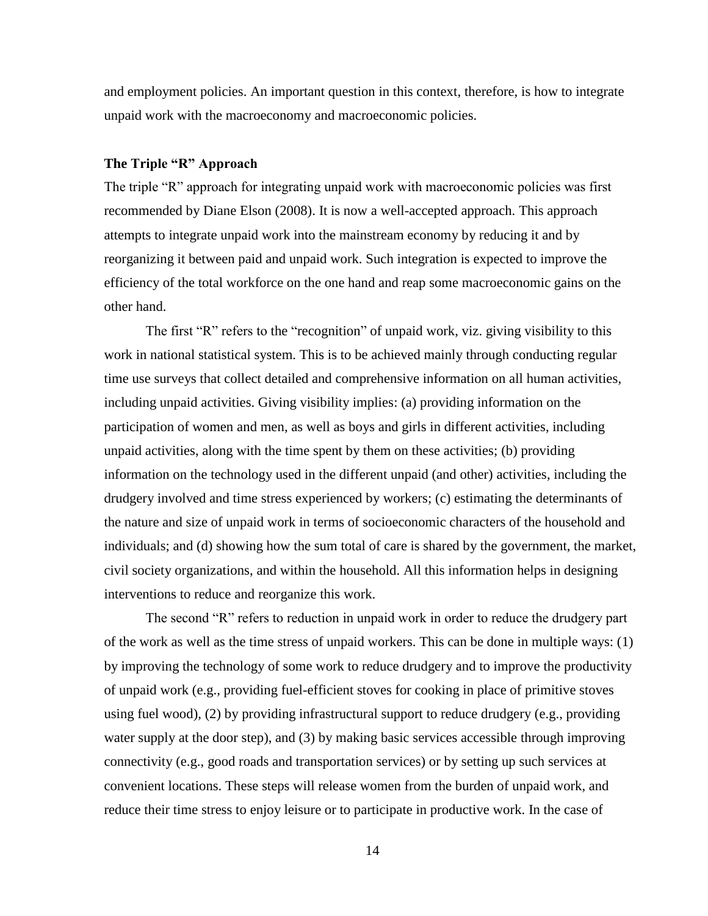and employment policies. An important question in this context, therefore, is how to integrate unpaid work with the macroeconomy and macroeconomic policies.

### **The Triple "R" Approach**

The triple "R" approach for integrating unpaid work with macroeconomic policies was first recommended by Diane Elson (2008). It is now a well-accepted approach. This approach attempts to integrate unpaid work into the mainstream economy by reducing it and by reorganizing it between paid and unpaid work. Such integration is expected to improve the efficiency of the total workforce on the one hand and reap some macroeconomic gains on the other hand.

The first "R" refers to the "recognition" of unpaid work, viz. giving visibility to this work in national statistical system. This is to be achieved mainly through conducting regular time use surveys that collect detailed and comprehensive information on all human activities, including unpaid activities. Giving visibility implies: (a) providing information on the participation of women and men, as well as boys and girls in different activities, including unpaid activities, along with the time spent by them on these activities; (b) providing information on the technology used in the different unpaid (and other) activities, including the drudgery involved and time stress experienced by workers; (c) estimating the determinants of the nature and size of unpaid work in terms of socioeconomic characters of the household and individuals; and (d) showing how the sum total of care is shared by the government, the market, civil society organizations, and within the household. All this information helps in designing interventions to reduce and reorganize this work.

The second "R" refers to reduction in unpaid work in order to reduce the drudgery part of the work as well as the time stress of unpaid workers. This can be done in multiple ways: (1) by improving the technology of some work to reduce drudgery and to improve the productivity of unpaid work (e.g., providing fuel-efficient stoves for cooking in place of primitive stoves using fuel wood), (2) by providing infrastructural support to reduce drudgery (e.g., providing water supply at the door step), and (3) by making basic services accessible through improving connectivity (e.g., good roads and transportation services) or by setting up such services at convenient locations. These steps will release women from the burden of unpaid work, and reduce their time stress to enjoy leisure or to participate in productive work. In the case of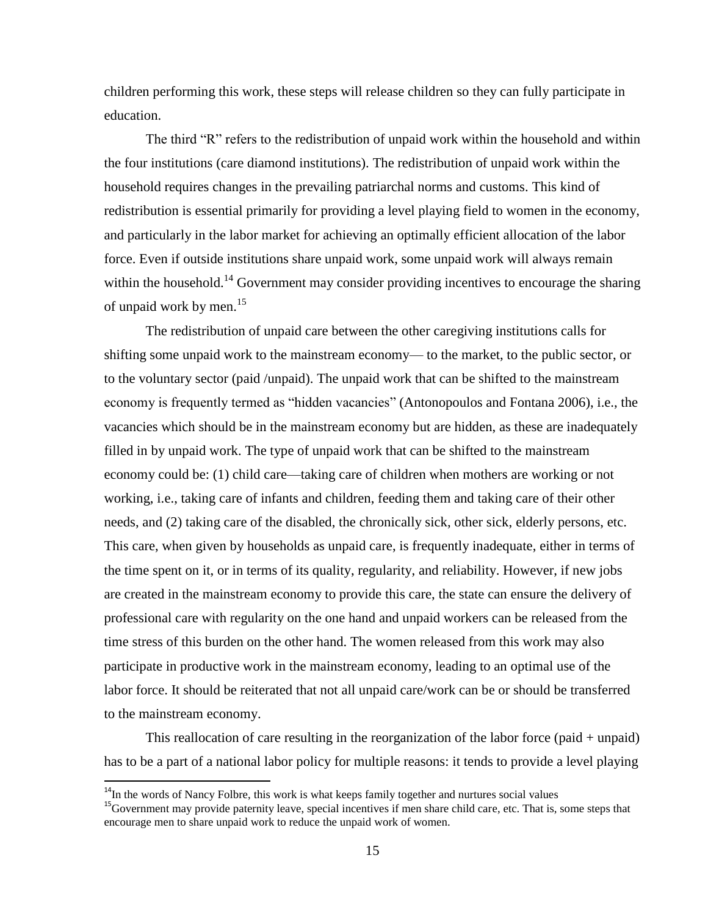children performing this work, these steps will release children so they can fully participate in education.

The third "R" refers to the redistribution of unpaid work within the household and within the four institutions (care diamond institutions). The redistribution of unpaid work within the household requires changes in the prevailing patriarchal norms and customs. This kind of redistribution is essential primarily for providing a level playing field to women in the economy, and particularly in the labor market for achieving an optimally efficient allocation of the labor force. Even if outside institutions share unpaid work, some unpaid work will always remain within the household.<sup>14</sup> Government may consider providing incentives to encourage the sharing of unpaid work by men. 15

The redistribution of unpaid care between the other caregiving institutions calls for shifting some unpaid work to the mainstream economy— to the market, to the public sector, or to the voluntary sector (paid /unpaid). The unpaid work that can be shifted to the mainstream economy is frequently termed as "hidden vacancies" (Antonopoulos and Fontana 2006), i.e., the vacancies which should be in the mainstream economy but are hidden, as these are inadequately filled in by unpaid work. The type of unpaid work that can be shifted to the mainstream economy could be: (1) child care—taking care of children when mothers are working or not working, i.e., taking care of infants and children, feeding them and taking care of their other needs, and (2) taking care of the disabled, the chronically sick, other sick, elderly persons, etc. This care, when given by households as unpaid care, is frequently inadequate, either in terms of the time spent on it, or in terms of its quality, regularity, and reliability. However, if new jobs are created in the mainstream economy to provide this care, the state can ensure the delivery of professional care with regularity on the one hand and unpaid workers can be released from the time stress of this burden on the other hand. The women released from this work may also participate in productive work in the mainstream economy, leading to an optimal use of the labor force. It should be reiterated that not all unpaid care/work can be or should be transferred to the mainstream economy.

This reallocation of care resulting in the reorganization of the labor force (paid + unpaid) has to be a part of a national labor policy for multiple reasons: it tends to provide a level playing

l

 $14$ In the words of Nancy Folbre, this work is what keeps family together and nurtures social values

<sup>&</sup>lt;sup>15</sup>Government may provide paternity leave, special incentives if men share child care, etc. That is, some steps that encourage men to share unpaid work to reduce the unpaid work of women.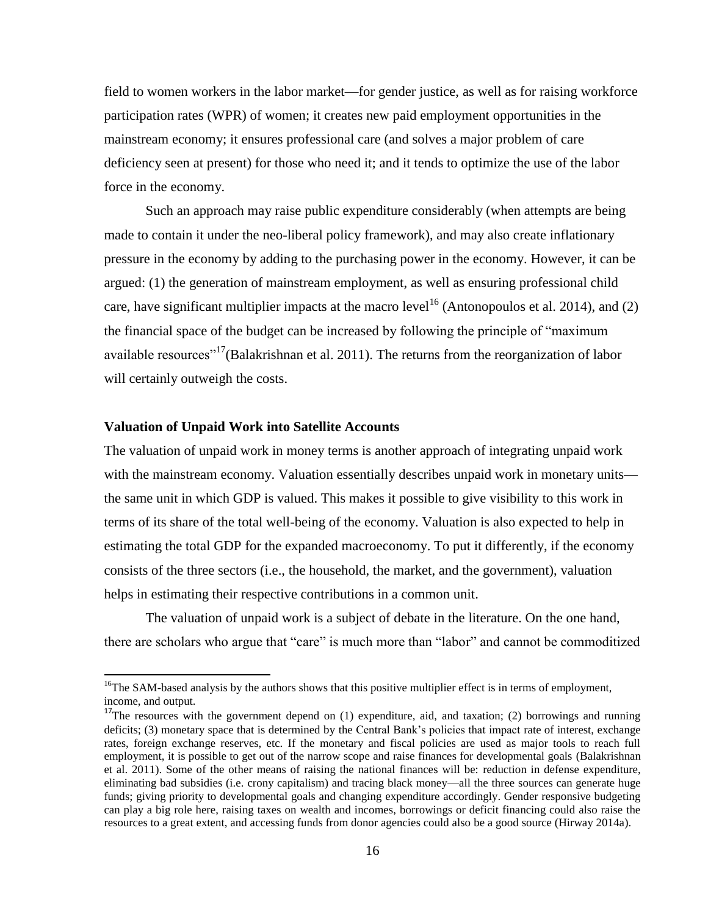field to women workers in the labor market—for gender justice, as well as for raising workforce participation rates (WPR) of women; it creates new paid employment opportunities in the mainstream economy; it ensures professional care (and solves a major problem of care deficiency seen at present) for those who need it; and it tends to optimize the use of the labor force in the economy.

Such an approach may raise public expenditure considerably (when attempts are being made to contain it under the neo-liberal policy framework), and may also create inflationary pressure in the economy by adding to the purchasing power in the economy. However, it can be argued: (1) the generation of mainstream employment, as well as ensuring professional child care, have significant multiplier impacts at the macro level<sup>16</sup> (Antonopoulos et al. 2014), and (2) the financial space of the budget can be increased by following the principle of "maximum available resources<sup> $17$ </sup>(Balakrishnan et al. 2011). The returns from the reorganization of labor will certainly outweigh the costs.

# **Valuation of Unpaid Work into Satellite Accounts**

 $\overline{\phantom{a}}$ 

The valuation of unpaid work in money terms is another approach of integrating unpaid work with the mainstream economy. Valuation essentially describes unpaid work in monetary units the same unit in which GDP is valued. This makes it possible to give visibility to this work in terms of its share of the total well-being of the economy. Valuation is also expected to help in estimating the total GDP for the expanded macroeconomy. To put it differently, if the economy consists of the three sectors (i.e., the household, the market, and the government), valuation helps in estimating their respective contributions in a common unit.

The valuation of unpaid work is a subject of debate in the literature. On the one hand, there are scholars who argue that "care" is much more than "labor" and cannot be commoditized

<sup>&</sup>lt;sup>16</sup>The SAM-based analysis by the authors shows that this positive multiplier effect is in terms of employment, income, and output.

 $17$ The resources with the government depend on (1) expenditure, aid, and taxation; (2) borrowings and running deficits; (3) monetary space that is determined by the Central Bank's policies that impact rate of interest, exchange rates, foreign exchange reserves, etc. If the monetary and fiscal policies are used as major tools to reach full employment, it is possible to get out of the narrow scope and raise finances for developmental goals (Balakrishnan et al. 2011). Some of the other means of raising the national finances will be: reduction in defense expenditure, eliminating bad subsidies (i.e. crony capitalism) and tracing black money—all the three sources can generate huge funds; giving priority to developmental goals and changing expenditure accordingly. Gender responsive budgeting can play a big role here, raising taxes on wealth and incomes, borrowings or deficit financing could also raise the resources to a great extent, and accessing funds from donor agencies could also be a good source (Hirway 2014a).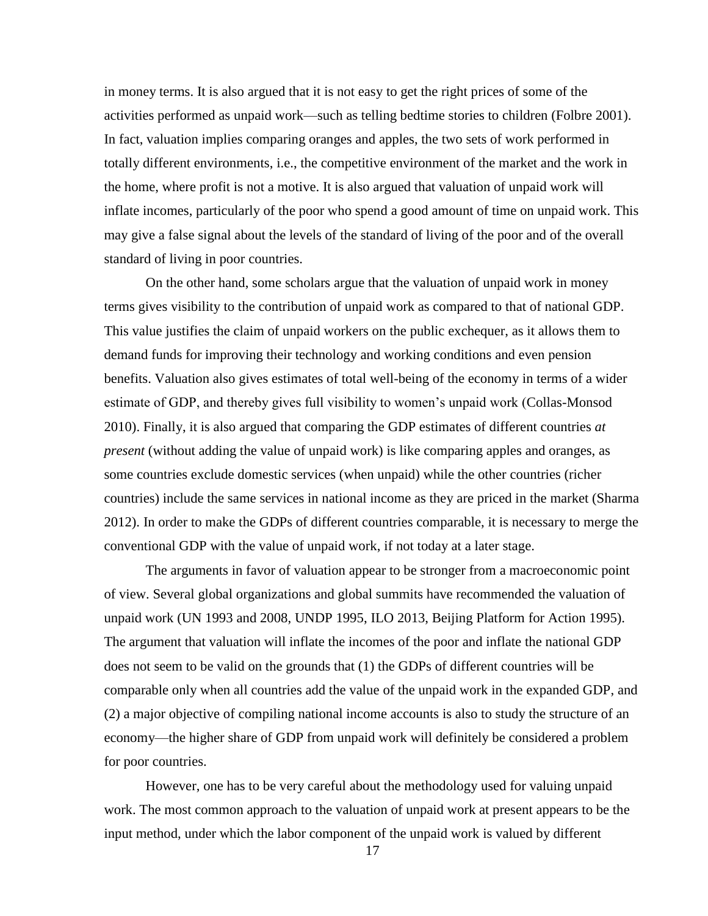in money terms. It is also argued that it is not easy to get the right prices of some of the activities performed as unpaid work—such as telling bedtime stories to children (Folbre 2001). In fact, valuation implies comparing oranges and apples, the two sets of work performed in totally different environments, i.e., the competitive environment of the market and the work in the home, where profit is not a motive. It is also argued that valuation of unpaid work will inflate incomes, particularly of the poor who spend a good amount of time on unpaid work. This may give a false signal about the levels of the standard of living of the poor and of the overall standard of living in poor countries.

On the other hand, some scholars argue that the valuation of unpaid work in money terms gives visibility to the contribution of unpaid work as compared to that of national GDP. This value justifies the claim of unpaid workers on the public exchequer, as it allows them to demand funds for improving their technology and working conditions and even pension benefits. Valuation also gives estimates of total well-being of the economy in terms of a wider estimate of GDP, and thereby gives full visibility to women's unpaid work (Collas-Monsod 2010). Finally, it is also argued that comparing the GDP estimates of different countries *at present* (without adding the value of unpaid work) is like comparing apples and oranges, as some countries exclude domestic services (when unpaid) while the other countries (richer countries) include the same services in national income as they are priced in the market (Sharma 2012). In order to make the GDPs of different countries comparable, it is necessary to merge the conventional GDP with the value of unpaid work, if not today at a later stage.

The arguments in favor of valuation appear to be stronger from a macroeconomic point of view. Several global organizations and global summits have recommended the valuation of unpaid work (UN 1993 and 2008, UNDP 1995, ILO 2013, Beijing Platform for Action 1995). The argument that valuation will inflate the incomes of the poor and inflate the national GDP does not seem to be valid on the grounds that (1) the GDPs of different countries will be comparable only when all countries add the value of the unpaid work in the expanded GDP, and (2) a major objective of compiling national income accounts is also to study the structure of an economy—the higher share of GDP from unpaid work will definitely be considered a problem for poor countries.

However, one has to be very careful about the methodology used for valuing unpaid work. The most common approach to the valuation of unpaid work at present appears to be the input method, under which the labor component of the unpaid work is valued by different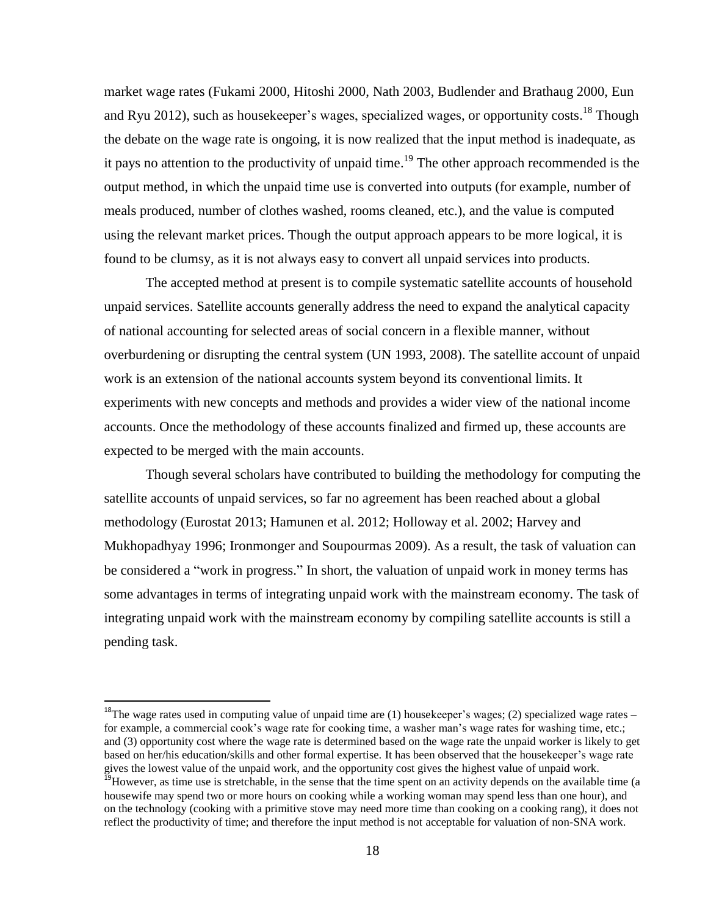market wage rates (Fukami 2000, Hitoshi 2000, Nath 2003, Budlender and Brathaug 2000, Eun and Ryu 2012), such as housekeeper's wages, specialized wages, or opportunity costs.<sup>18</sup> Though the debate on the wage rate is ongoing, it is now realized that the input method is inadequate, as it pays no attention to the productivity of unpaid time.<sup>19</sup> The other approach recommended is the output method, in which the unpaid time use is converted into outputs (for example, number of meals produced, number of clothes washed, rooms cleaned, etc.), and the value is computed using the relevant market prices. Though the output approach appears to be more logical, it is found to be clumsy, as it is not always easy to convert all unpaid services into products.

The accepted method at present is to compile systematic satellite accounts of household unpaid services. Satellite accounts generally address the need to expand the analytical capacity of national accounting for selected areas of social concern in a flexible manner, without overburdening or disrupting the central system (UN 1993, 2008). The satellite account of unpaid work is an extension of the national accounts system beyond its conventional limits. It experiments with new concepts and methods and provides a wider view of the national income accounts. Once the methodology of these accounts finalized and firmed up, these accounts are expected to be merged with the main accounts.

Though several scholars have contributed to building the methodology for computing the satellite accounts of unpaid services, so far no agreement has been reached about a global methodology (Eurostat 2013; Hamunen et al. 2012; Holloway et al. 2002; Harvey and Mukhopadhyay 1996; Ironmonger and Soupourmas 2009). As a result, the task of valuation can be considered a "work in progress." In short, the valuation of unpaid work in money terms has some advantages in terms of integrating unpaid work with the mainstream economy. The task of integrating unpaid work with the mainstream economy by compiling satellite accounts is still a pending task.

l

<sup>&</sup>lt;sup>18</sup>The wage rates used in computing value of unpaid time are (1) housekeeper's wages; (2) specialized wage rates – for example, a commercial cook's wage rate for cooking time, a washer man's wage rates for washing time, etc.; and (3) opportunity cost where the wage rate is determined based on the wage rate the unpaid worker is likely to get based on her/his education/skills and other formal expertise. It has been observed that the housekeeper's wage rate gives the lowest value of the unpaid work, and the opportunity cost gives the highest value of unpaid work.

<sup>&</sup>lt;sup>19</sup>However, as time use is stretchable, in the sense that the time spent on an activity depends on the available time (a housewife may spend two or more hours on cooking while a working woman may spend less than one hour), and on the technology (cooking with a primitive stove may need more time than cooking on a cooking rang), it does not reflect the productivity of time; and therefore the input method is not acceptable for valuation of non-SNA work.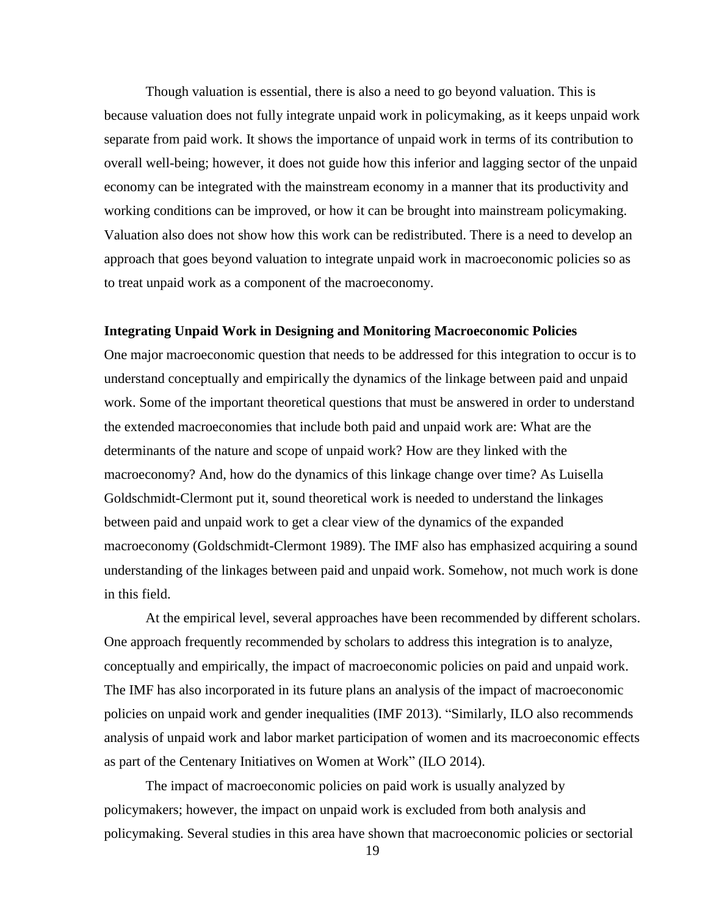Though valuation is essential, there is also a need to go beyond valuation. This is because valuation does not fully integrate unpaid work in policymaking, as it keeps unpaid work separate from paid work. It shows the importance of unpaid work in terms of its contribution to overall well-being; however, it does not guide how this inferior and lagging sector of the unpaid economy can be integrated with the mainstream economy in a manner that its productivity and working conditions can be improved, or how it can be brought into mainstream policymaking. Valuation also does not show how this work can be redistributed. There is a need to develop an approach that goes beyond valuation to integrate unpaid work in macroeconomic policies so as to treat unpaid work as a component of the macroeconomy.

## **Integrating Unpaid Work in Designing and Monitoring Macroeconomic Policies**

One major macroeconomic question that needs to be addressed for this integration to occur is to understand conceptually and empirically the dynamics of the linkage between paid and unpaid work. Some of the important theoretical questions that must be answered in order to understand the extended macroeconomies that include both paid and unpaid work are: What are the determinants of the nature and scope of unpaid work? How are they linked with the macroeconomy? And, how do the dynamics of this linkage change over time? As Luisella Goldschmidt-Clermont put it, sound theoretical work is needed to understand the linkages between paid and unpaid work to get a clear view of the dynamics of the expanded macroeconomy (Goldschmidt-Clermont 1989). The IMF also has emphasized acquiring a sound understanding of the linkages between paid and unpaid work. Somehow, not much work is done in this field.

At the empirical level, several approaches have been recommended by different scholars. One approach frequently recommended by scholars to address this integration is to analyze, conceptually and empirically, the impact of macroeconomic policies on paid and unpaid work. The IMF has also incorporated in its future plans an analysis of the impact of macroeconomic policies on unpaid work and gender inequalities (IMF 2013). "Similarly, ILO also recommends analysis of unpaid work and labor market participation of women and its macroeconomic effects as part of the Centenary Initiatives on Women at Work" (ILO 2014).

The impact of macroeconomic policies on paid work is usually analyzed by policymakers; however, the impact on unpaid work is excluded from both analysis and policymaking. Several studies in this area have shown that macroeconomic policies or sectorial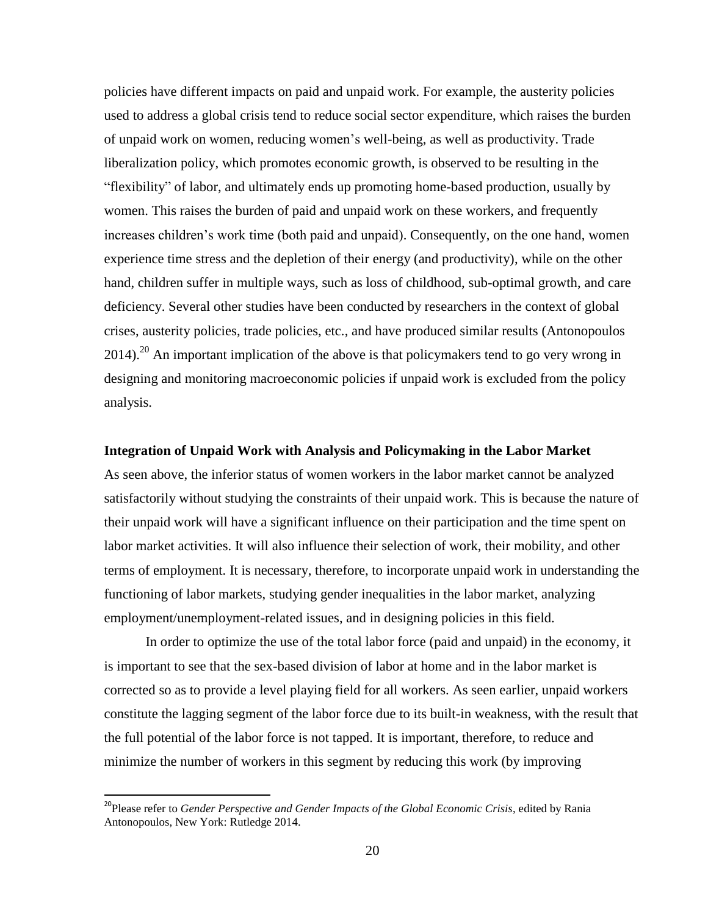policies have different impacts on paid and unpaid work. For example, the austerity policies used to address a global crisis tend to reduce social sector expenditure, which raises the burden of unpaid work on women, reducing women's well-being, as well as productivity. Trade liberalization policy, which promotes economic growth, is observed to be resulting in the "flexibility" of labor, and ultimately ends up promoting home-based production, usually by women. This raises the burden of paid and unpaid work on these workers, and frequently increases children's work time (both paid and unpaid). Consequently, on the one hand, women experience time stress and the depletion of their energy (and productivity), while on the other hand, children suffer in multiple ways, such as loss of childhood, sub-optimal growth, and care deficiency. Several other studies have been conducted by researchers in the context of global crises, austerity policies, trade policies, etc., and have produced similar results (Antonopoulos 2014).<sup>20</sup> An important implication of the above is that policymakers tend to go very wrong in designing and monitoring macroeconomic policies if unpaid work is excluded from the policy analysis.

## **Integration of Unpaid Work with Analysis and Policymaking in the Labor Market**

As seen above, the inferior status of women workers in the labor market cannot be analyzed satisfactorily without studying the constraints of their unpaid work. This is because the nature of their unpaid work will have a significant influence on their participation and the time spent on labor market activities. It will also influence their selection of work, their mobility, and other terms of employment. It is necessary, therefore, to incorporate unpaid work in understanding the functioning of labor markets, studying gender inequalities in the labor market, analyzing employment/unemployment-related issues, and in designing policies in this field.

In order to optimize the use of the total labor force (paid and unpaid) in the economy, it is important to see that the sex-based division of labor at home and in the labor market is corrected so as to provide a level playing field for all workers. As seen earlier, unpaid workers constitute the lagging segment of the labor force due to its built-in weakness, with the result that the full potential of the labor force is not tapped. It is important, therefore, to reduce and minimize the number of workers in this segment by reducing this work (by improving

 $\overline{\phantom{a}}$ 

<sup>&</sup>lt;sup>20</sup>Please refer to *Gender Perspective and Gender Impacts of the Global Economic Crisis*, edited by Rania Antonopoulos, New York: Rutledge 2014.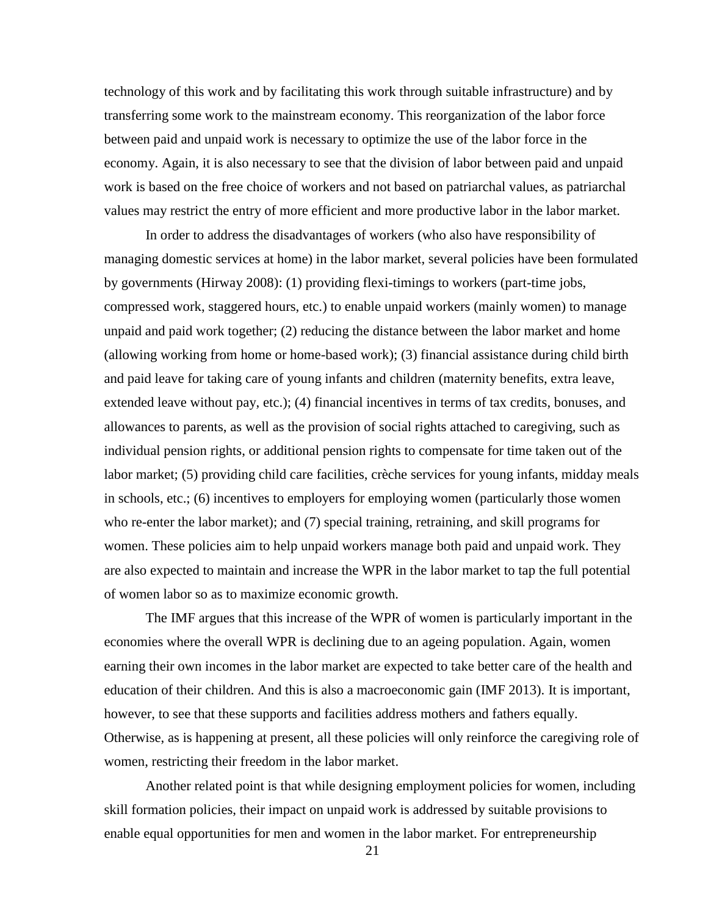technology of this work and by facilitating this work through suitable infrastructure) and by transferring some work to the mainstream economy. This reorganization of the labor force between paid and unpaid work is necessary to optimize the use of the labor force in the economy. Again, it is also necessary to see that the division of labor between paid and unpaid work is based on the free choice of workers and not based on patriarchal values, as patriarchal values may restrict the entry of more efficient and more productive labor in the labor market.

In order to address the disadvantages of workers (who also have responsibility of managing domestic services at home) in the labor market, several policies have been formulated by governments (Hirway 2008): (1) providing flexi-timings to workers (part-time jobs, compressed work, staggered hours, etc.) to enable unpaid workers (mainly women) to manage unpaid and paid work together; (2) reducing the distance between the labor market and home (allowing working from home or home-based work); (3) financial assistance during child birth and paid leave for taking care of young infants and children (maternity benefits, extra leave, extended leave without pay, etc.); (4) financial incentives in terms of tax credits, bonuses, and allowances to parents, as well as the provision of social rights attached to caregiving, such as individual pension rights, or additional pension rights to compensate for time taken out of the labor market; (5) providing child care facilities, crèche services for young infants, midday meals in schools, etc.; (6) incentives to employers for employing women (particularly those women who re-enter the labor market); and (7) special training, retraining, and skill programs for women. These policies aim to help unpaid workers manage both paid and unpaid work. They are also expected to maintain and increase the WPR in the labor market to tap the full potential of women labor so as to maximize economic growth.

The IMF argues that this increase of the WPR of women is particularly important in the economies where the overall WPR is declining due to an ageing population. Again, women earning their own incomes in the labor market are expected to take better care of the health and education of their children. And this is also a macroeconomic gain (IMF 2013). It is important, however, to see that these supports and facilities address mothers and fathers equally. Otherwise, as is happening at present, all these policies will only reinforce the caregiving role of women, restricting their freedom in the labor market.

Another related point is that while designing employment policies for women, including skill formation policies, their impact on unpaid work is addressed by suitable provisions to enable equal opportunities for men and women in the labor market. For entrepreneurship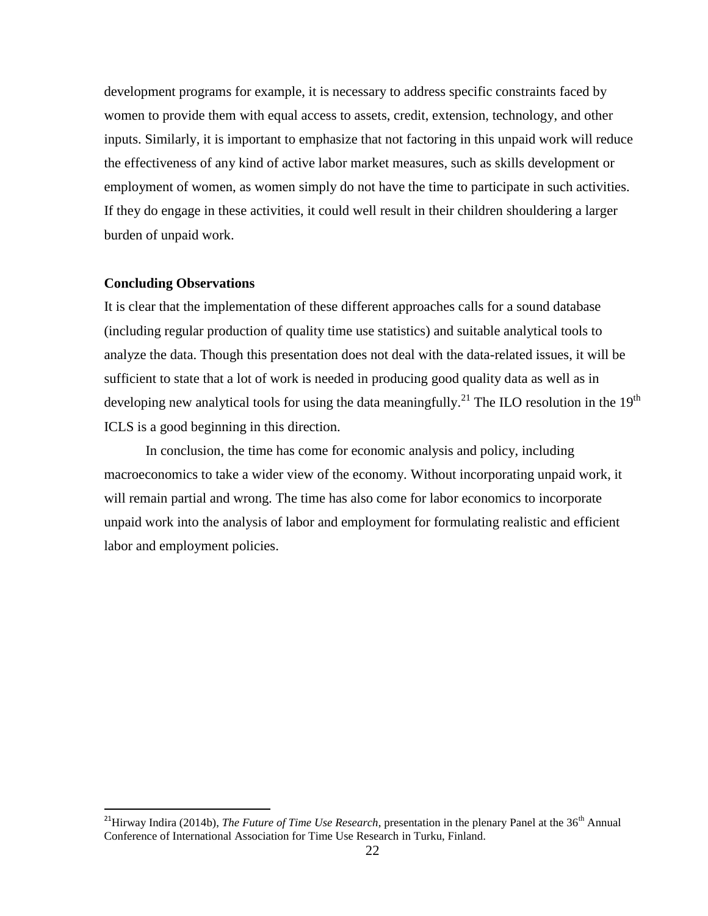development programs for example, it is necessary to address specific constraints faced by women to provide them with equal access to assets, credit, extension, technology, and other inputs. Similarly, it is important to emphasize that not factoring in this unpaid work will reduce the effectiveness of any kind of active labor market measures, such as skills development or employment of women, as women simply do not have the time to participate in such activities. If they do engage in these activities, it could well result in their children shouldering a larger burden of unpaid work.

#### **Concluding Observations**

 $\overline{\phantom{a}}$ 

It is clear that the implementation of these different approaches calls for a sound database (including regular production of quality time use statistics) and suitable analytical tools to analyze the data. Though this presentation does not deal with the data-related issues, it will be sufficient to state that a lot of work is needed in producing good quality data as well as in developing new analytical tools for using the data meaningfully.<sup>21</sup> The ILO resolution in the 19<sup>th</sup> ICLS is a good beginning in this direction.

In conclusion, the time has come for economic analysis and policy, including macroeconomics to take a wider view of the economy. Without incorporating unpaid work, it will remain partial and wrong. The time has also come for labor economics to incorporate unpaid work into the analysis of labor and employment for formulating realistic and efficient labor and employment policies.

<sup>&</sup>lt;sup>21</sup>Hirway Indira (2014b), *The Future of Time Use Research*, presentation in the plenary Panel at the 36<sup>th</sup> Annual Conference of International Association for Time Use Research in Turku, Finland.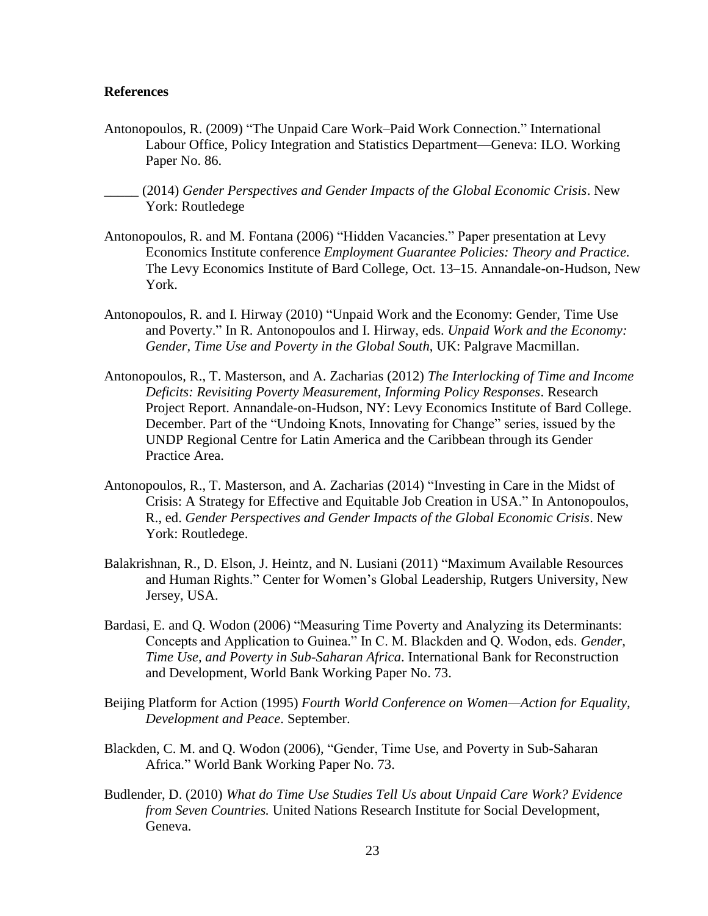# **References**

- Antonopoulos, R. (2009) "The Unpaid Care Work–Paid Work Connection." International Labour Office, Policy Integration and Statistics Department—Geneva: ILO. Working Paper No. 86.
- \_\_\_\_\_ (2014) *Gender Perspectives and Gender Impacts of the Global Economic Crisis*. New York: Routledege
- Antonopoulos, R. and M. Fontana (2006) "Hidden Vacancies." Paper presentation at Levy Economics Institute conference *Employment Guarantee Policies: Theory and Practice.* The Levy Economics Institute of Bard College, Oct. 13–15. Annandale-on-Hudson, New York.
- Antonopoulos, R. and I. Hirway (2010) "Unpaid Work and the Economy: Gender, Time Use and Poverty." In R. Antonopoulos and I. Hirway, eds. *Unpaid Work and the Economy: Gender, Time Use and Poverty in the Global South*, UK: Palgrave Macmillan.
- Antonopoulos, R., T. Masterson, and A. Zacharias (2012) *The Interlocking of Time and Income Deficits: Revisiting Poverty Measurement, Informing Policy Responses*. Research Project Report. Annandale-on-Hudson, NY: Levy Economics Institute of Bard College. December. Part of the "Undoing Knots, Innovating for Change" series, issued by the UNDP Regional Centre for Latin America and the Caribbean through its Gender Practice Area.
- Antonopoulos, R., T. Masterson, and A. Zacharias (2014) "Investing in Care in the Midst of Crisis: A Strategy for Effective and Equitable Job Creation in USA." In Antonopoulos, R., ed. *Gender Perspectives and Gender Impacts of the Global Economic Crisis*. New York: Routledege.
- Balakrishnan, R., D. Elson, J. Heintz, and N. Lusiani (2011) "Maximum Available Resources and Human Rights." Center for Women's Global Leadership, Rutgers University, New Jersey, USA.
- Bardasi, E. and Q. Wodon (2006) "Measuring Time Poverty and Analyzing its Determinants: Concepts and Application to Guinea." In C. M. Blackden and Q. Wodon, eds. *Gender, Time Use, and Poverty in Sub-Saharan Africa*. International Bank for Reconstruction and Development, World Bank Working Paper No. 73.
- Beijing Platform for Action (1995) *Fourth World Conference on Women—Action for Equality, Development and Peace*. September.
- Blackden, C. M. and Q. Wodon (2006), "Gender, Time Use, and Poverty in Sub-Saharan Africa." World Bank Working Paper No. 73.
- Budlender, D. (2010) *What do Time Use Studies Tell Us about Unpaid Care Work? Evidence from Seven Countries.* United Nations Research Institute for Social Development, Geneva.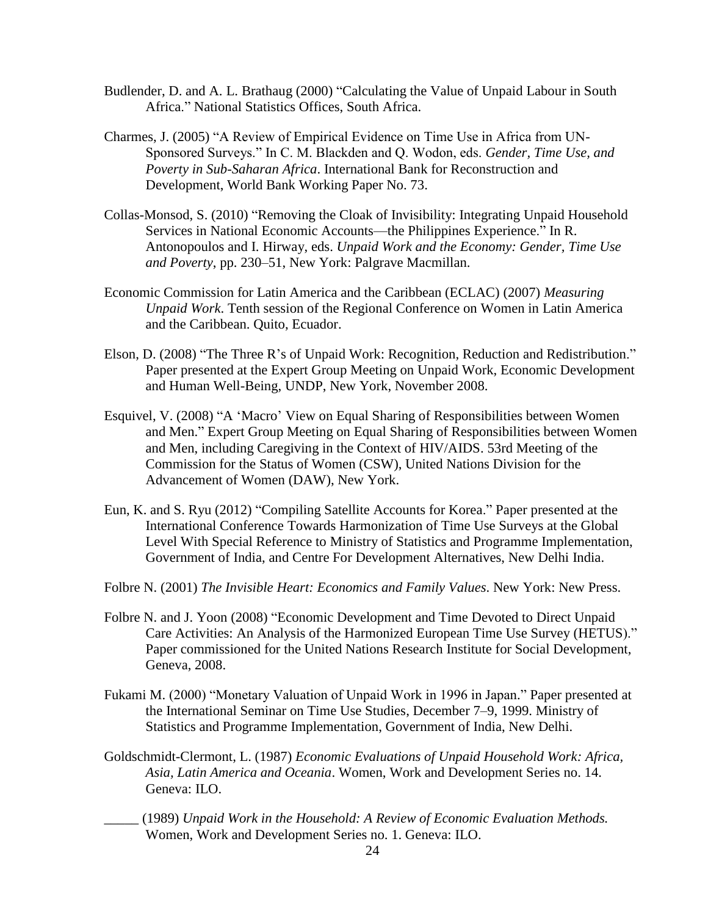- Budlender, D. and A. L. Brathaug (2000) "Calculating the Value of Unpaid Labour in South Africa." National Statistics Offices, South Africa.
- Charmes, J. (2005) "A Review of Empirical Evidence on Time Use in Africa from UN-Sponsored Surveys." In C. M. Blackden and Q. Wodon, eds. *Gender, Time Use, and Poverty in Sub-Saharan Africa*. International Bank for Reconstruction and Development, World Bank Working Paper No. 73.
- Collas-Monsod, S. (2010) "Removing the Cloak of Invisibility: Integrating Unpaid Household Services in National Economic Accounts—the Philippines Experience." In R. Antonopoulos and I. Hirway, eds. *Unpaid Work and the Economy: Gender, Time Use and Poverty*, pp. 230–51, New York: Palgrave Macmillan.
- Economic Commission for Latin America and the Caribbean (ECLAC) (2007) *Measuring Unpaid Work*. Tenth session of the Regional Conference on Women in Latin America and the Caribbean. Quito, Ecuador.
- Elson, D. (2008) "The Three R's of Unpaid Work: Recognition, Reduction and Redistribution." Paper presented at the Expert Group Meeting on Unpaid Work, Economic Development and Human Well-Being, UNDP, New York, November 2008.
- Esquivel, V. (2008) "A 'Macro' View on Equal Sharing of Responsibilities between Women and Men." Expert Group Meeting on Equal Sharing of Responsibilities between Women and Men, including Caregiving in the Context of HIV/AIDS. 53rd Meeting of the Commission for the Status of Women (CSW), United Nations Division for the Advancement of Women (DAW), New York.
- Eun, K. and S. Ryu (2012) "Compiling Satellite Accounts for Korea." Paper presented at the International Conference Towards Harmonization of Time Use Surveys at the Global Level With Special Reference to Ministry of Statistics and Programme Implementation, Government of India, and Centre For Development Alternatives, New Delhi India.
- Folbre N. (2001) *The Invisible Heart: Economics and Family Values*. New York: New Press.
- Folbre N. and J. Yoon (2008) "Economic Development and Time Devoted to Direct Unpaid Care Activities: An Analysis of the Harmonized European Time Use Survey (HETUS)." Paper commissioned for the United Nations Research Institute for Social Development, Geneva, 2008.
- Fukami M. (2000) "Monetary Valuation of Unpaid Work in 1996 in Japan." Paper presented at the International Seminar on Time Use Studies, December 7–9, 1999. Ministry of Statistics and Programme Implementation, Government of India, New Delhi.
- Goldschmidt-Clermont, L. (1987) *Economic Evaluations of Unpaid Household Work: Africa, Asia, Latin America and Oceania*. Women, Work and Development Series no. 14. Geneva: ILO.
	- \_\_\_\_\_ (1989) *Unpaid Work in the Household: A Review of Economic Evaluation Methods.* Women, Work and Development Series no. 1. Geneva: ILO.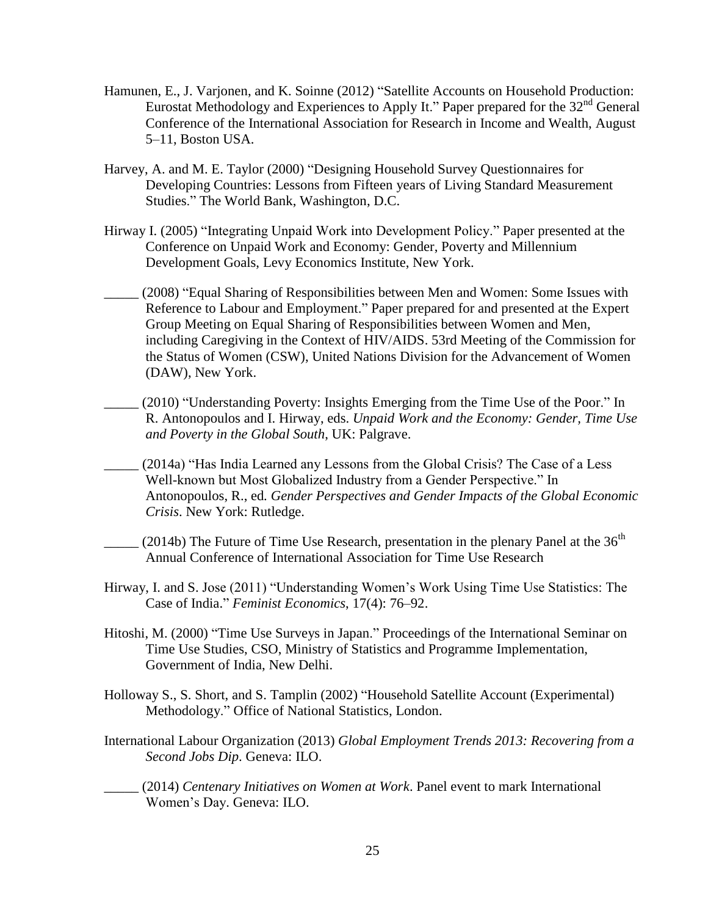- Hamunen, E., J. Varjonen, and K. Soinne (2012) "Satellite Accounts on Household Production: Eurostat Methodology and Experiences to Apply It." Paper prepared for the  $32<sup>nd</sup>$  General Conference of the International Association for Research in Income and Wealth, August 5–11, Boston USA.
- Harvey, A. and M. E. Taylor (2000) "Designing Household Survey Questionnaires for Developing Countries: Lessons from Fifteen years of Living Standard Measurement Studies." The World Bank, Washington, D.C.
- Hirway I. (2005) "Integrating Unpaid Work into Development Policy." Paper presented at the Conference on Unpaid Work and Economy: Gender, Poverty and Millennium Development Goals, Levy Economics Institute, New York.
- (2008) "Equal Sharing of Responsibilities between Men and Women: Some Issues with Reference to Labour and Employment." Paper prepared for and presented at the Expert Group Meeting on Equal Sharing of Responsibilities between Women and Men, including Caregiving in the Context of HIV/AIDS. 53rd Meeting of the Commission for the Status of Women (CSW), United Nations Division for the Advancement of Women (DAW), New York.
- \_\_\_\_\_ (2010) "Understanding Poverty: Insights Emerging from the Time Use of the Poor." In R. Antonopoulos and I. Hirway, eds. *Unpaid Work and the Economy: Gender, Time Use and Poverty in the Global South*, UK: Palgrave.
- \_\_\_\_\_ (2014a) "Has India Learned any Lessons from the Global Crisis? The Case of a Less Well-known but Most Globalized Industry from a Gender Perspective." In Antonopoulos, R., ed*. Gender Perspectives and Gender Impacts of the Global Economic Crisis*. New York: Rutledge.
- (2014b) The Future of Time Use Research, presentation in the plenary Panel at the  $36<sup>th</sup>$ Annual Conference of International Association for Time Use Research
- Hirway, I. and S. Jose (2011) "Understanding Women's Work Using Time Use Statistics: The Case of India." *Feminist Economics*, 17(4): 76–92.
- Hitoshi, M. (2000) "Time Use Surveys in Japan." Proceedings of the International Seminar on Time Use Studies, CSO, Ministry of Statistics and Programme Implementation, Government of India, New Delhi.
- Holloway S., S. Short, and S. Tamplin (2002) "Household Satellite Account (Experimental) Methodology." Office of National Statistics, London.
- International Labour Organization (2013) *Global Employment Trends 2013: Recovering from a Second Jobs Dip*. Geneva: ILO.

\_\_\_\_\_ (2014) *Centenary Initiatives on Women at Work*. Panel event to mark International Women's Day. Geneva: ILO.